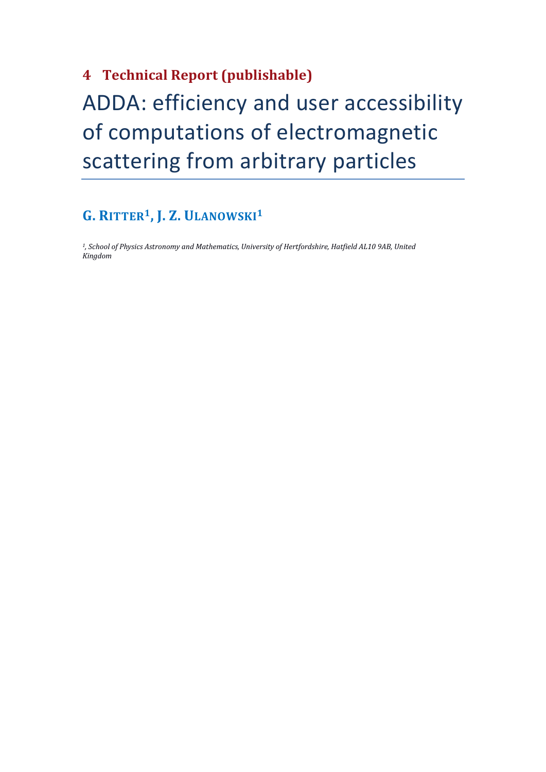# **4 Technical Report (publishable)** ADDA: efficiency and user accessibility of computations of electromagnetic scattering from arbitrary particles

# **G. RITTER1 , J. Z. ULANOWSKI1**

*1, School of Physics Astronomy and Mathematics, University of Hertfordshire, Hatfield AL10 9AB, United Kingdom*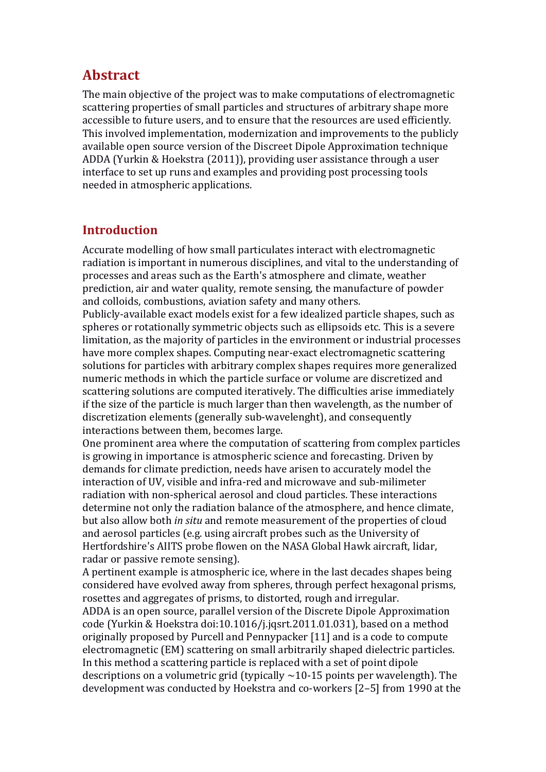# **Abstract**

The main objective of the project was to make computations of electromagnetic scattering properties of small particles and structures of arbitrary shape more accessible to future users, and to ensure that the resources are used efficiently. This involved implementation, modernization and improvements to the publicly available open source version of the Discreet Dipole Approximation technique ADDA (Yurkin & Hoekstra (2011)), providing user assistance through a user interface to set up runs and examples and providing post processing tools needed in atmospheric applications.

## **Introduction**

Accurate modelling of how small particulates interact with electromagnetic radiation is important in numerous disciplines, and vital to the understanding of processes and areas such as the Earth's atmosphere and climate, weather prediction, air and water quality, remote sensing, the manufacture of powder and colloids, combustions, aviation safety and many others.

Publicly-available exact models exist for a few idealized particle shapes, such as spheres or rotationally symmetric objects such as ellipsoids etc. This is a severe limitation, as the majority of particles in the environment or industrial processes have more complex shapes. Computing near-exact electromagnetic scattering solutions for particles with arbitrary complex shapes requires more generalized numeric methods in which the particle surface or volume are discretized and scattering solutions are computed iteratively. The difficulties arise immediately if the size of the particle is much larger than then wavelength, as the number of discretization elements (generally sub-wavelenght), and consequently interactions between them, becomes large.

One prominent area where the computation of scattering from complex particles is growing in importance is atmospheric science and forecasting. Driven by demands for climate prediction, needs have arisen to accurately model the interaction of UV, visible and infra-red and microwave and sub-milimeter radiation with non-spherical aerosol and cloud particles. These interactions determine not only the radiation balance of the atmosphere, and hence climate, but also allow both *in situ* and remote measurement of the properties of cloud and aerosol particles (e.g. using aircraft probes such as the University of Hertfordshire's AIITS probe flowen on the NASA Global Hawk aircraft, lidar, radar or passive remote sensing).

A pertinent example is atmospheric ice, where in the last decades shapes being considered have evolved away from spheres, through perfect hexagonal prisms, rosettes and aggregates of prisms, to distorted, rough and irregular.

ADDA is an open source, parallel version of the Discrete Dipole Approximation code (Yurkin & Hoekstra doi:10.1016/j.jqsrt.2011.01.031), based on a method originally proposed by Purcell and Pennypacker [11] and is a code to compute electromagnetic (EM) scattering on small arbitrarily shaped dielectric particles. In this method a scattering particle is replaced with a set of point dipole descriptions on a volumetric grid (typically  $\sim$ 10-15 points per wavelength). The development was conducted by Hoekstra and co-workers [2–5] from 1990 at the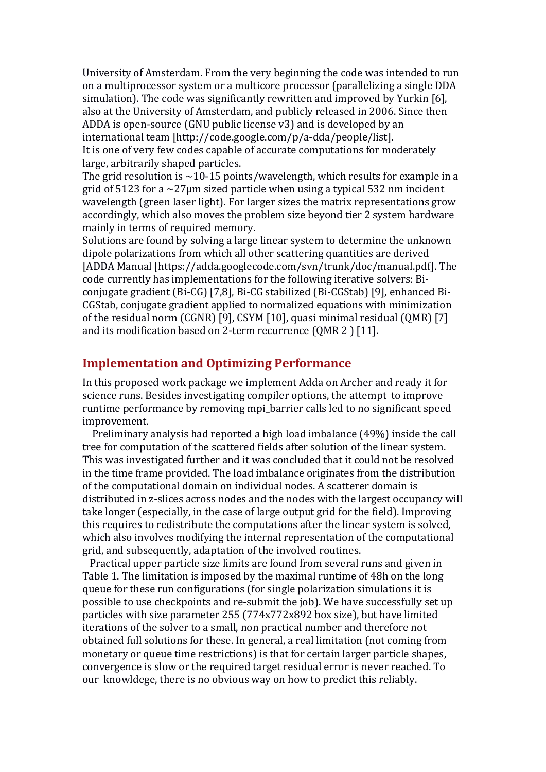University of Amsterdam. From the very beginning the code was intended to run on a multiprocessor system or a multicore processor (parallelizing a single DDA simulation). The code was significantly rewritten and improved by Yurkin [6], also at the University of Amsterdam, and publicly released in 2006. Since then ADDA is open-source (GNU public license v3) and is developed by an international team [http://code.google.com/p/a-dda/people/list]. It is one of very few codes capable of accurate computations for moderately large, arbitrarily shaped particles.

The grid resolution is  $\sim$ 10-15 points/wavelength, which results for example in a grid of 5123 for a  $\sim$ 27 µm sized particle when using a typical 532 nm incident wavelength (green laser light). For larger sizes the matrix representations grow accordingly, which also moves the problem size beyond tier 2 system hardware mainly in terms of required memory.

Solutions are found by solving a large linear system to determine the unknown dipole polarizations from which all other scattering quantities are derived [ADDA Manual [https://adda.googlecode.com/svn/trunk/doc/manual.pdf]. The code currently has implementations for the following iterative solvers: Biconjugate gradient (Bi-CG) [7,8], Bi-CG stabilized (Bi-CGStab) [9], enhanced Bi-CGStab, conjugate gradient applied to normalized equations with minimization of the residual norm (CGNR) [9], CSYM [10], quasi minimal residual (QMR) [7] and its modification based on 2-term recurrence (QMR 2 ) [11].

#### **Implementation and Optimizing Performance**

In this proposed work package we implement Adda on Archer and ready it for science runs. Besides investigating compiler options, the attempt to improve runtime performance by removing mpi\_barrier calls led to no significant speed improvement.

 Preliminary analysis had reported a high load imbalance (49%) inside the call tree for computation of the scattered fields after solution of the linear system. This was investigated further and it was concluded that it could not be resolved in the time frame provided. The load imbalance originates from the distribution of the computational domain on individual nodes. A scatterer domain is distributed in z-slices across nodes and the nodes with the largest occupancy will take longer (especially, in the case of large output grid for the field). Improving this requires to redistribute the computations after the linear system is solved, which also involves modifying the internal representation of the computational grid, and subsequently, adaptation of the involved routines.

 Practical upper particle size limits are found from several runs and given in Table 1. The limitation is imposed by the maximal runtime of 48h on the long queue for these run configurations (for single polarization simulations it is possible to use checkpoints and re-submit the job). We have successfully set up particles with size parameter 255 (774x772x892 box size), but have limited iterations of the solver to a small, non practical number and therefore not obtained full solutions for these. In general, a real limitation (not coming from monetary or queue time restrictions) is that for certain larger particle shapes, convergence is slow or the required target residual error is never reached. To our knowldege, there is no obvious way on how to predict this reliably.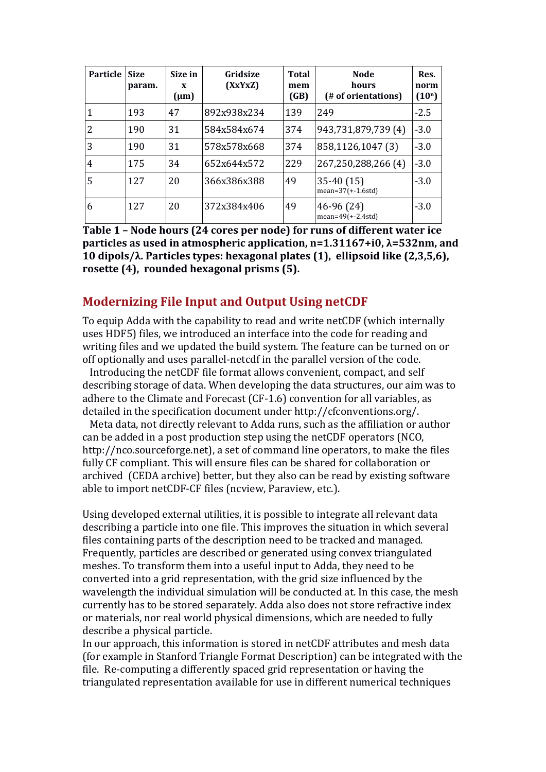| Particle | <b>Size</b><br>param. | Size in<br>X<br>$(\mu m)$ | Gridsize<br>(XxYxZ) | <b>Total</b><br>mem<br>(GB) | <b>Node</b><br>hours<br>(# of orientations) | Res.<br>norm<br>$(10^n)$ |
|----------|-----------------------|---------------------------|---------------------|-----------------------------|---------------------------------------------|--------------------------|
|          | 193                   | 47                        | 892x938x234         | 139                         | 249                                         | $-2.5$                   |
| 2        | 190                   | 31                        | 584x584x674         | 374                         | 943,731,879,739 (4)                         | $-3.0$                   |
| 3        | 190                   | 31                        | 578x578x668         | 374                         | 858,1126,1047 (3)                           | $-3.0$                   |
| 4        | 175                   | 34                        | 652x644x572         | 229                         | 267,250,288,266 (4)                         | $-3.0$                   |
| 5        | 12.7                  | 20                        | 366x386x388         | 49                          | $35-40(15)$<br>$mean=37(+1.6std)$           | $-3.0$                   |
| 6        | 127                   | 20                        | 372x384x406         | 49                          | 46-96 (24)<br>$mean=49(+2.4std)$            | $-3.0$                   |

**Table 1 – Node hours (24 cores per node) for runs of different water ice particles as used in atmospheric application, n=1.31167+i0, λ=532nm, and 10 dipols/λ. Particles types: hexagonal plates (1), ellipsoid like (2,3,5,6), rosette (4), rounded hexagonal prisms (5).**

#### **Modernizing File Input and Output Using netCDF**

To equip Adda with the capability to read and write netCDF (which internally uses HDF5) files, we introduced an interface into the code for reading and writing files and we updated the build system. The feature can be turned on or off optionally and uses parallel-netcdf in the parallel version of the code.

 Introducing the netCDF file format allows convenient, compact, and self describing storage of data. When developing the data structures, our aim was to adhere to the Climate and Forecast (CF-1.6) convention for all variables, as detailed in the specification document under http://cfconventions.org/.

 Meta data, not directly relevant to Adda runs, such as the affiliation or author can be added in a post production step using the netCDF operators (NCO, http://nco.sourceforge.net), a set of command line operators, to make the files fully CF compliant. This will ensure files can be shared for collaboration or archived (CEDA archive) better, but they also can be read by existing software able to import netCDF-CF files (ncview, Paraview, etc.).

Using developed external utilities, it is possible to integrate all relevant data describing a particle into one file. This improves the situation in which several files containing parts of the description need to be tracked and managed. Frequently, particles are described or generated using convex triangulated meshes. To transform them into a useful input to Adda, they need to be converted into a grid representation, with the grid size influenced by the wavelength the individual simulation will be conducted at. In this case, the mesh currently has to be stored separately. Adda also does not store refractive index or materials, nor real world physical dimensions, which are needed to fully describe a physical particle.

In our approach, this information is stored in netCDF attributes and mesh data (for example in Stanford Triangle Format Description) can be integrated with the file. Re-computing a differently spaced grid representation or having the triangulated representation available for use in different numerical techniques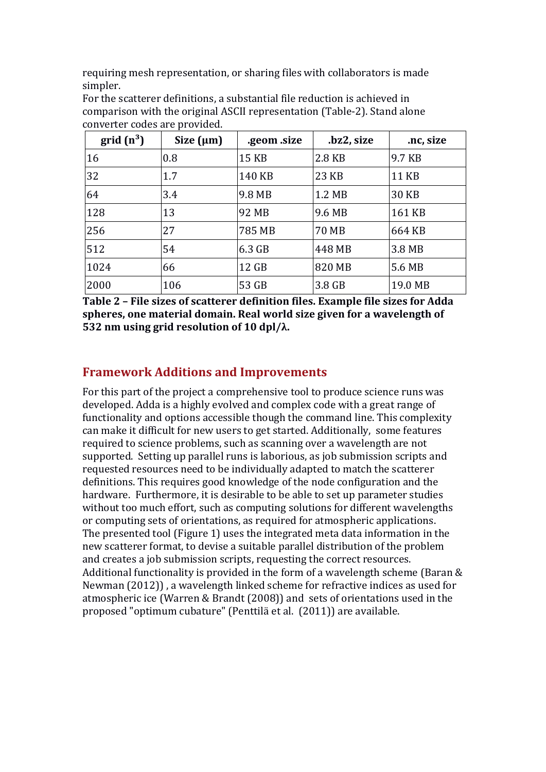requiring mesh representation, or sharing files with collaborators is made simpler.

| $grid(n^3)$ | Size $(\mu m)$ | .geom .size | .bz2, size | .nc, size    |
|-------------|----------------|-------------|------------|--------------|
| 16          | 0.8            | 15 KB       | 2.8 KB     | 9.7 KB       |
| 32          | 1.7            | 140 KB      | 23 KB      | <b>11 KB</b> |
| 64          | 3.4            | 9.8 MB      | 1.2 MB     | <b>30 KB</b> |
| 128         | 13             | 92 MB       | 9.6 MB     | 161 KB       |
| 256         | 27             | 785 MB      | 70 MB      | 664 KB       |
| 512         | 54             | $6.3$ GB    | 448 MB     | 3.8 MB       |
| 1024        | 66             | 12 GB       | 820 MB     | 5.6 MB       |
| 2000        | 106            | 53 GB       | 3.8 GB     | 19.0 MB      |

For the scatterer definitions, a substantial file reduction is achieved in comparison with the original ASCII representation (Table-2). Stand alone converter codes are provided.

**Table 2 – File sizes of scatterer definition files. Example file sizes for Adda spheres, one material domain. Real world size given for a wavelength of 532 nm using grid resolution of 10 dpl/λ.**

# **Framework Additions and Improvements**

For this part of the project a comprehensive tool to produce science runs was developed. Adda is a highly evolved and complex code with a great range of functionality and options accessible though the command line. This complexity can make it difficult for new users to get started. Additionally, some features required to science problems, such as scanning over a wavelength are not supported. Setting up parallel runs is laborious, as job submission scripts and requested resources need to be individually adapted to match the scatterer definitions. This requires good knowledge of the node configuration and the hardware. Furthermore, it is desirable to be able to set up parameter studies without too much effort, such as computing solutions for different wavelengths or computing sets of orientations, as required for atmospheric applications. The presented tool (Figure 1) uses the integrated meta data information in the new scatterer format, to devise a suitable parallel distribution of the problem and creates a job submission scripts, requesting the correct resources. Additional functionality is provided in the form of a wavelength scheme (Baran & Newman (2012)) , a wavelength linked scheme for refractive indices as used for atmospheric ice (Warren & Brandt (2008)) and sets of orientations used in the proposed "optimum cubature" (Penttilä et al. (2011)) are available.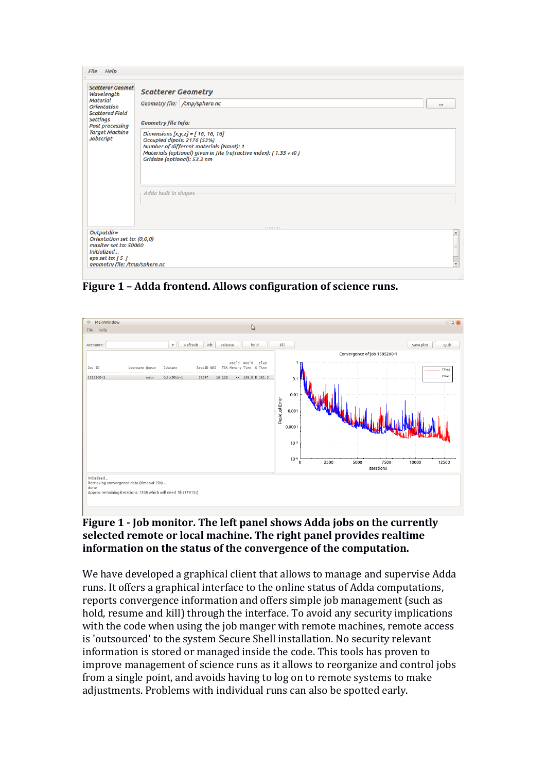| <b>File</b><br>Help                                                                                                                                                                         |                                                                                                                                                                                                                                                                                                                                                   |
|---------------------------------------------------------------------------------------------------------------------------------------------------------------------------------------------|---------------------------------------------------------------------------------------------------------------------------------------------------------------------------------------------------------------------------------------------------------------------------------------------------------------------------------------------------|
| <b>Scatterer Geomet</b><br>Wavelength<br><b>Material</b><br><b>Orientation</b><br><b>Scattered Field</b><br><b>Settings</b><br><b>Post processing</b><br><b>Target Machine</b><br>Jobscript | <b>Scatterer Geometry</b><br>Geometry file: /tmp/sphere.nc<br><br><b>Geometry file Info:</b><br>Dimensions $[x, y, z] = [16, 16, 16]$<br>Occupied dipols: 2176 (53%)<br>Number of different materials (Nmat): 1<br>Materials (optional) given in file (refractive index): $\{1.33 + i0\}$<br>Gridsize (optional): 53.2 nm<br>Adda built in shapes |
| Outputdir=<br>Orientation set to: (0,0,0)<br>maxiter set to: 50000<br>Initialized<br>eps set to: $[5]$<br>geometry file: /tmp/sphere.nc                                                     | $\overline{\phantom{a}}$<br>$\overline{\mathbf{v}}$                                                                                                                                                                                                                                                                                               |

**Figure 1 – Adda frontend. Allows configuration of science runs.**



#### **Figure 1 - Job monitor. The left panel shows Adda jobs on the currently selected remote or local machine. The right panel provides realtime information on the status of the convergence of the computation.**

We have developed a graphical client that allows to manage and supervise Adda runs. It offers a graphical interface to the online status of Adda computations, reports convergence information and offers simple job management (such as hold, resume and kill) through the interface. To avoid any security implications with the code when using the job manger with remote machines, remote access is 'outsourced' to the system Secure Shell installation. No security relevant information is stored or managed inside the code. This tools has proven to improve management of science runs as it allows to reorganize and control jobs from a single point, and avoids having to log on to remote systems to make adjustments. Problems with individual runs can also be spotted early.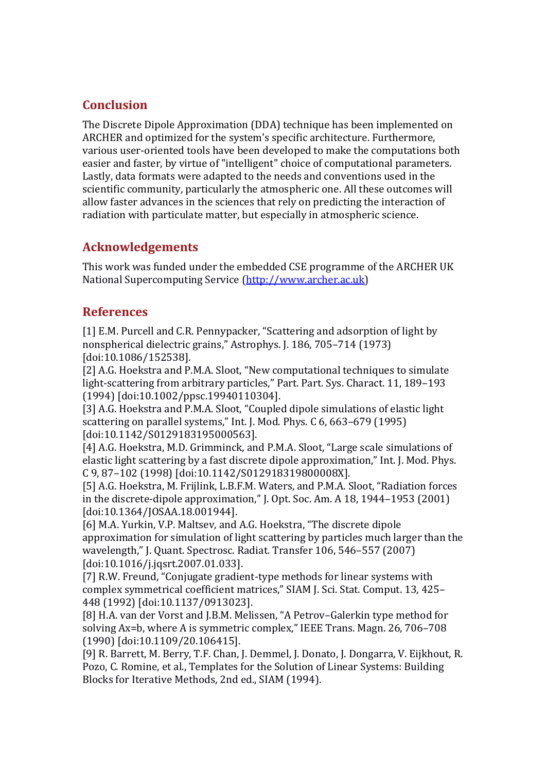## **Conclusion**

The Discrete Dipole Approximation (DDA) technique has been implemented on ARCHER and optimized for the system's specific architecture. Furthermore, various user-oriented tools have been developed to make the computations both easier and faster, by virtue of "intelligent" choice of computational parameters. Lastly, data formats were adapted to the needs and conventions used in the scientific community, particularly the atmospheric one. All these outcomes will allow faster advances in the sciences that rely on predicting the interaction of radiation with particulate matter, but especially in atmospheric science.

## **Acknowledgements**

This work was funded under the embedded CSE programme of the ARCHER UK National Supercomputing Service [\(http://www.archer.ac.uk\)](http://www.archer.ac.uk/)

### **References**

[1] E.M. Purcell and C.R. Pennypacker, "Scattering and adsorption of light by nonspherical dielectric grains," Astrophys. J. 186, 705–714 (1973) [doi:10.1086/152538].

[2] A.G. Hoekstra and P.M.A. Sloot, "New computational techniques to simulate light-scattering from arbitrary particles," Part. Part. Sys. Charact. 11, 189–193 (1994) [doi:10.1002/ppsc.19940110304].

[3] A.G. Hoekstra and P.M.A. Sloot, "Coupled dipole simulations of elastic light scattering on parallel systems," Int. J. Mod. Phys. C 6, 663–679 (1995) [doi:10.1142/S0129183195000563].

[4] A.G. Hoekstra, M.D. Grimminck, and P.M.A. Sloot, "Large scale simulations of elastic light scattering by a fast discrete dipole approximation," Int. J. Mod. Phys. C 9, 87–102 (1998) [doi:10.1142/S012918319800008X].

[5] A.G. Hoekstra, M. Frijlink, L.B.F.M. Waters, and P.M.A. Sloot, "Radiation forces in the discrete-dipole approximation," J. Opt. Soc. Am. A 18, 1944–1953 (2001) [doi:10.1364/JOSAA.18.001944].

[6] M.A. Yurkin, V.P. Maltsev, and A.G. Hoekstra, "The discrete dipole approximation for simulation of light scattering by particles much larger than the wavelength," J. Quant. Spectrosc. Radiat. Transfer 106, 546–557 (2007) [doi:10.1016/j.jqsrt.2007.01.033].

[7] R.W. Freund, "Conjugate gradient-type methods for linear systems with complex symmetrical coefficient matrices," SIAM J. Sci. Stat. Comput. 13, 425– 448 (1992) [doi:10.1137/0913023].

[8] H.A. van der Vorst and J.B.M. Melissen, "A Petrov–Galerkin type method for solving Ax=b, where A is symmetric complex," IEEE Trans. Magn. 26, 706–708 (1990) [doi:10.1109/20.106415].

[9] R. Barrett, M. Berry, T.F. Chan, J. Demmel, J. Donato, J. Dongarra, V. Eijkhout, R. Pozo, C. Romine, et al., Templates for the Solution of Linear Systems: Building Blocks for Iterative Methods, 2nd ed., SIAM (1994).